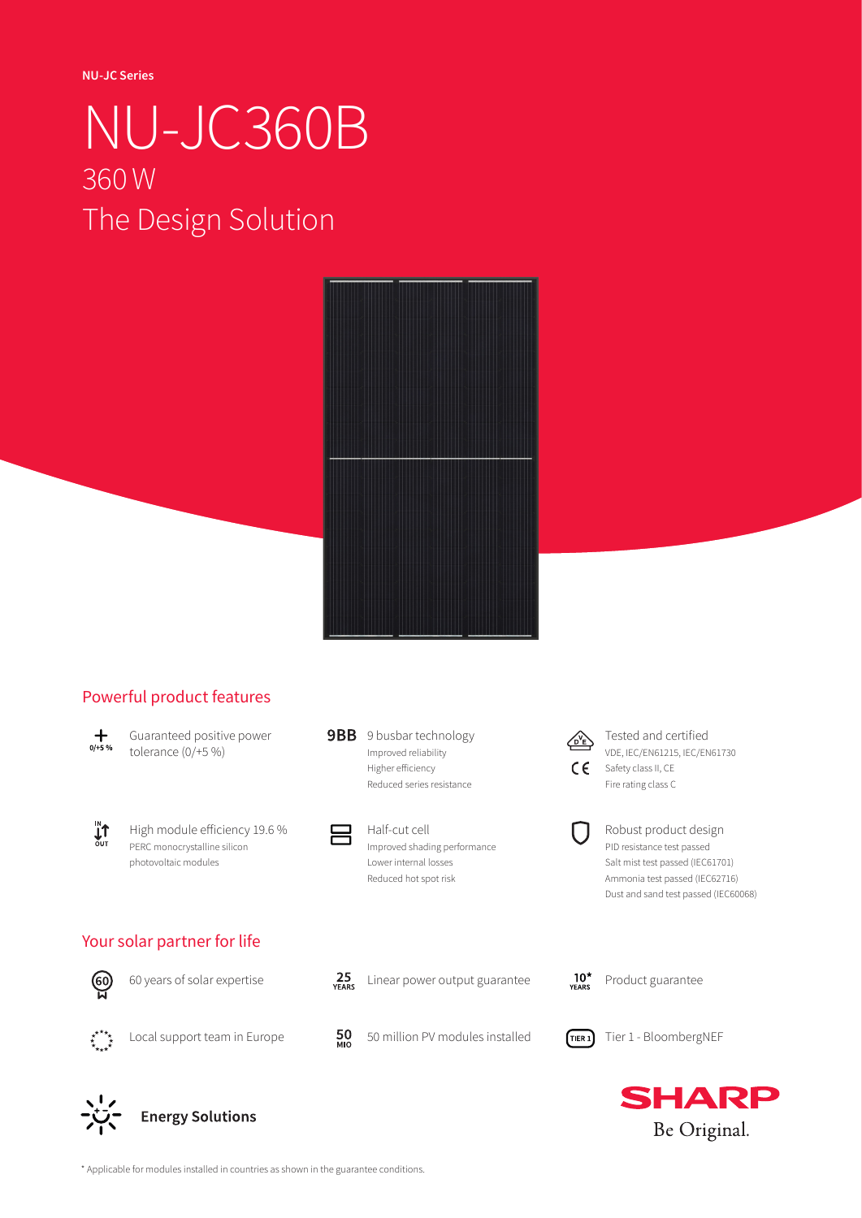**NU-JC Series**

# NU-JC360B 360W The Design Solution



### Powerful product features



Guaranteed positive power tolerance (0/+5 %)



High module efficiency 19.6 % PERC monocrystalline silicon photovoltaic modules





Half-cut cell Improved shading performance Lower internal losses Reduced hot spot risk



Tested and certified VDE, IEC/EN61215, IEC/EN61730 CC Safety class II, CE Fire rating class C



Robust product design PID resistance test passed Salt mist test passed (IEC61701) Ammonia test passed (IEC62716) Dust and sand test passed (IEC60068)

### Your solar partner for life





**Energy Solutions** 



Linear power output guarantee





Local support team in Europe



50 million PV modules installed



 $10<sup>*</sup>$ <br>YEARS

Tier 1 - BloombergNEF

Product guarantee



\* Applicable for modules installed in countries as shown in the guarantee conditions.